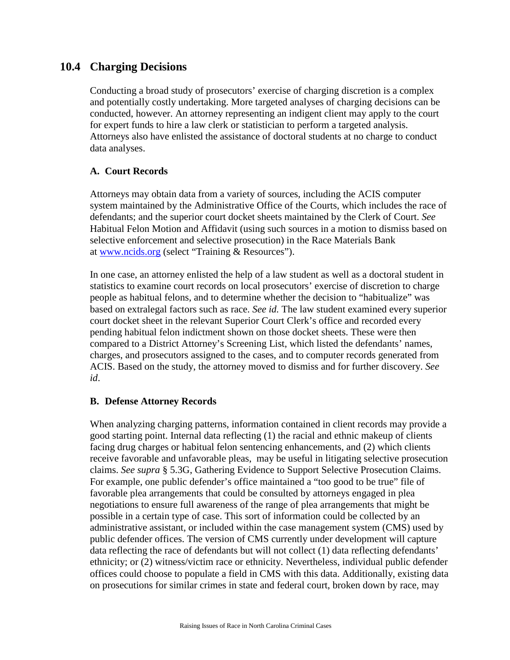## **10.4 Charging Decisions**

Conducting a broad study of prosecutors' exercise of charging discretion is a complex and potentially costly undertaking. More targeted analyses of charging decisions can be conducted, however. An attorney representing an indigent client may apply to the court for expert funds to hire a law clerk or statistician to perform a targeted analysis. Attorneys also have enlisted the assistance of doctoral students at no charge to conduct data analyses.

## **A. Court Records**

Attorneys may obtain data from a variety of sources, including the ACIS computer system maintained by the Administrative Office of the Courts, which includes the race of defendants; and the superior court docket sheets maintained by the Clerk of Court. *See* Habitual Felon Motion and Affidavit (using such sources in a motion to dismiss based on selective enforcement and selective prosecution) in the Race Materials Bank at [www.ncids.org](http://www.ncids.org/) (select "Training & Resources").

In one case, an attorney enlisted the help of a law student as well as a doctoral student in statistics to examine court records on local prosecutors' exercise of discretion to charge people as habitual felons, and to determine whether the decision to "habitualize" was based on extralegal factors such as race. *See id.* The law student examined every superior court docket sheet in the relevant Superior Court Clerk's office and recorded every pending habitual felon indictment shown on those docket sheets. These were then compared to a District Attorney's Screening List, which listed the defendants' names, charges, and prosecutors assigned to the cases, and to computer records generated from ACIS. Based on the study, the attorney moved to dismiss and for further discovery. *See id*.

## **B. Defense Attorney Records**

When analyzing charging patterns, information contained in client records may provide a good starting point. Internal data reflecting (1) the racial and ethnic makeup of clients facing drug charges or habitual felon sentencing enhancements, and (2) which clients receive favorable and unfavorable pleas, may be useful in litigating selective prosecution claims. *See supra* § 5.3G, Gathering Evidence to Support Selective Prosecution Claims. For example, one public defender's office maintained a "too good to be true" file of favorable plea arrangements that could be consulted by attorneys engaged in plea negotiations to ensure full awareness of the range of plea arrangements that might be possible in a certain type of case. This sort of information could be collected by an administrative assistant, or included within the case management system (CMS) used by public defender offices. The version of CMS currently under development will capture data reflecting the race of defendants but will not collect (1) data reflecting defendants' ethnicity; or (2) witness/victim race or ethnicity. Nevertheless, individual public defender offices could choose to populate a field in CMS with this data. Additionally, existing data on prosecutions for similar crimes in state and federal court, broken down by race, may